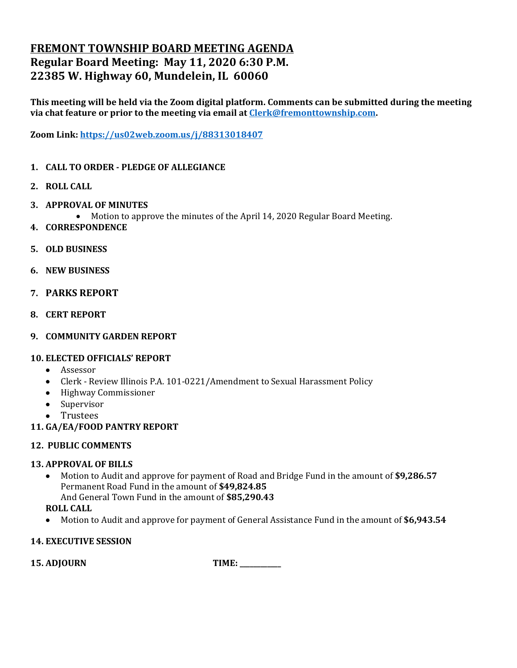# **FREMONT TOWNSHIP BOARD MEETING AGENDA Regular Board Meeting: May 11, 2020 6:30 P.M. 22385 W. Highway 60, Mundelein, IL 60060**

**This meeting will be held via the Zoom digital platform. Comments can be submitted during the meeting via chat feature or prior to the meeting via email at [Clerk@fremonttownship.com.](mailto:Clerk@fremonttownship.com)** 

**Zoom Link:<https://us02web.zoom.us/j/88313018407>**

- **1. CALL TO ORDER - PLEDGE OF ALLEGIANCE**
- **2. ROLL CALL**
- **3. APPROVAL OF MINUTES**
	- Motion to approve the minutes of the April 14, 2020 Regular Board Meeting.
- **4. CORRESPONDENCE**
- **5. OLD BUSINESS**
- **6. NEW BUSINESS**
- **7. PARKS REPORT**
- **8. CERT REPORT**
- **9. COMMUNITY GARDEN REPORT**

## **10. ELECTED OFFICIALS' REPORT**

- Assessor
- Clerk Review Illinois P.A. 101-0221/Amendment to Sexual Harassment Policy
- Highway Commissioner
- Supervisor
- Trustees
- **11. GA/EA/FOOD PANTRY REPORT**

## **12. PUBLIC COMMENTS**

## **13. APPROVAL OF BILLS**

• Motion to Audit and approve for payment of Road and Bridge Fund in the amount of **\$9,286.57** Permanent Road Fund in the amount of **\$49,824.85** And General Town Fund in the amount of **\$85,290.43**

## **ROLL CALL**

• Motion to Audit and approve for payment of General Assistance Fund in the amount of **\$6,943.54**

## **14. EXECUTIVE SESSION**

**15. ADJOURN TIME: \_\_\_\_\_\_\_\_\_\_\_\_**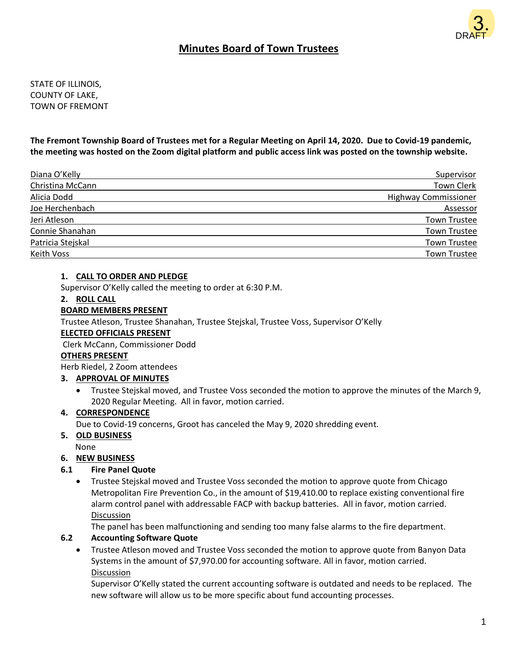

# **Minutes Board of Town Trustees**

STATE OF ILLINOIS, COUNTY OF LAKE, TOWN OF FREMONT

**The Fremont Township Board of Trustees met for a Regular Meeting on April 14, 2020. Due to Covid-19 pandemic, the meeting was hosted on the Zoom digital platform and public access link was posted on the township website.**

| Diana O'Kelly     | Supervisor                  |
|-------------------|-----------------------------|
| Christina McCann  | <b>Town Clerk</b>           |
| Alicia Dodd       | <b>Highway Commissioner</b> |
| Joe Herchenbach   | Assessor                    |
| Jeri Atleson      | <b>Town Trustee</b>         |
| Connie Shanahan   | <b>Town Trustee</b>         |
| Patricia Stejskal | <b>Town Trustee</b>         |
| Keith Voss        | <b>Town Trustee</b>         |

### **1. CALL TO ORDER AND PLEDGE**

Supervisor O'Kelly called the meeting to order at 6:30 P.M.

### **2. ROLL CALL**

### **BOARD MEMBERS PRESENT**

Trustee Atleson, Trustee Shanahan, Trustee Stejskal, Trustee Voss, Supervisor O'Kelly

### **ELECTED OFFICIALS PRESENT**

Clerk McCann, Commissioner Dodd

#### **OTHERS PRESENT**

Herb Riedel, 2 Zoom attendees

### **3. APPROVAL OF MINUTES**

• Trustee Stejskal moved, and Trustee Voss seconded the motion to approve the minutes of the March 9, 2020 Regular Meeting. All in favor, motion carried.

#### **4. CORRESPONDENCE**

Due to Covid-19 concerns, Groot has canceled the May 9, 2020 shredding event.

### **5. OLD BUSINESS**

None

### **6. NEW BUSINESS**

### **6.1 Fire Panel Quote**

• Trustee Stejskal moved and Trustee Voss seconded the motion to approve quote from Chicago Metropolitan Fire Prevention Co., in the amount of \$19,410.00 to replace existing conventional fire alarm control panel with addressable FACP with backup batteries. All in favor, motion carried. Discussion

The panel has been malfunctioning and sending too many false alarms to the fire department.

### **6.2 Accounting Software Quote**

• Trustee Atleson moved and Trustee Voss seconded the motion to approve quote from Banyon Data Systems in the amount of \$7,970.00 for accounting software. All in favor, motion carried. Discussion

Supervisor O'Kelly stated the current accounting software is outdated and needs to be replaced. The new software will allow us to be more specific about fund accounting processes.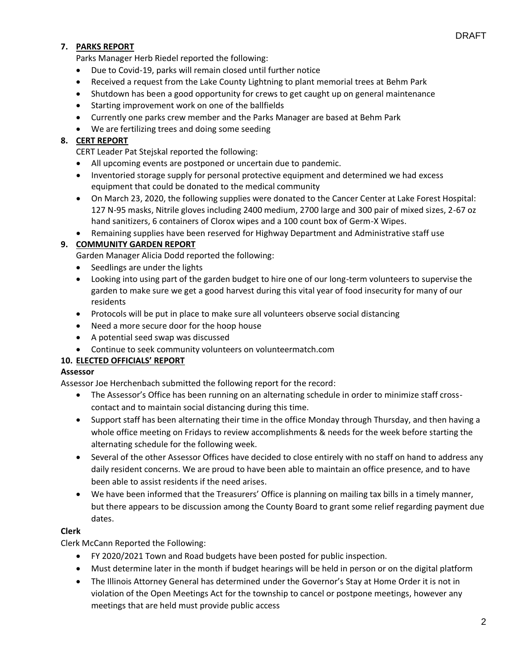## DRAFT

## **7. PARKS REPORT**

Parks Manager Herb Riedel reported the following:

- Due to Covid-19, parks will remain closed until further notice
- Received a request from the Lake County Lightning to plant memorial trees at Behm Park
- Shutdown has been a good opportunity for crews to get caught up on general maintenance
- Starting improvement work on one of the ballfields
- Currently one parks crew member and the Parks Manager are based at Behm Park
- We are fertilizing trees and doing some seeding

## **8. CERT REPORT**

CERT Leader Pat Stejskal reported the following:

- All upcoming events are postponed or uncertain due to pandemic.
- Inventoried storage supply for personal protective equipment and determined we had excess equipment that could be donated to the medical community
- On March 23, 2020, the following supplies were donated to the Cancer Center at Lake Forest Hospital: 127 N-95 masks, Nitrile gloves including 2400 medium, 2700 large and 300 pair of mixed sizes, 2-67 oz hand sanitizers, 6 containers of Clorox wipes and a 100 count box of Germ-X Wipes.
- Remaining supplies have been reserved for Highway Department and Administrative staff use

## **9. COMMUNITY GARDEN REPORT**

Garden Manager Alicia Dodd reported the following:

- Seedlings are under the lights
- Looking into using part of the garden budget to hire one of our long-term volunteers to supervise the garden to make sure we get a good harvest during this vital year of food insecurity for many of our residents
- Protocols will be put in place to make sure all volunteers observe social distancing
- Need a more secure door for the hoop house
- A potential seed swap was discussed
- Continue to seek community volunteers on volunteermatch.com

### **10. ELECTED OFFICIALS' REPORT**

### **Assessor**

Assessor Joe Herchenbach submitted the following report for the record:

- The Assessor's Office has been running on an alternating schedule in order to minimize staff crosscontact and to maintain social distancing during this time.
- Support staff has been alternating their time in the office Monday through Thursday, and then having a whole office meeting on Fridays to review accomplishments & needs for the week before starting the alternating schedule for the following week.
- Several of the other Assessor Offices have decided to close entirely with no staff on hand to address any daily resident concerns. We are proud to have been able to maintain an office presence, and to have been able to assist residents if the need arises.
- We have been informed that the Treasurers' Office is planning on mailing tax bills in a timely manner, but there appears to be discussion among the County Board to grant some relief regarding payment due dates.

## **Clerk**

Clerk McCann Reported the Following:

- FY 2020/2021 Town and Road budgets have been posted for public inspection.
- Must determine later in the month if budget hearings will be held in person or on the digital platform
- The Illinois Attorney General has determined under the Governor's Stay at Home Order it is not in violation of the Open Meetings Act for the township to cancel or postpone meetings, however any meetings that are held must provide public access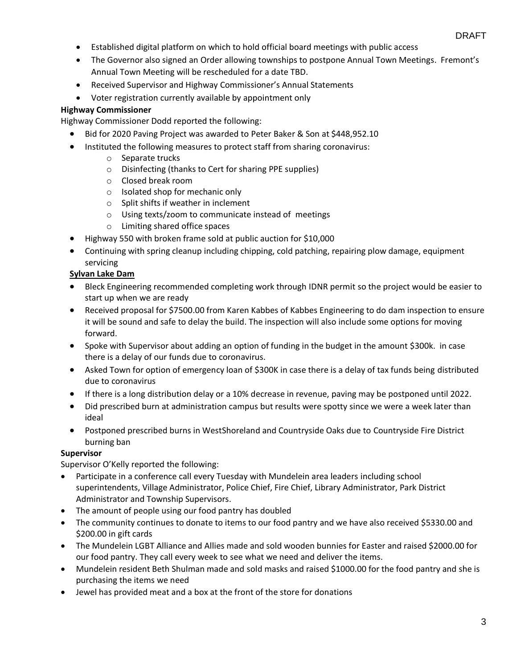- Established digital platform on which to hold official board meetings with public access
- The Governor also signed an Order allowing townships to postpone Annual Town Meetings. Fremont's Annual Town Meeting will be rescheduled for a date TBD.
- Received Supervisor and Highway Commissioner's Annual Statements
- Voter registration currently available by appointment only

## **Highway Commissioner**

Highway Commissioner Dodd reported the following:

- Bid for 2020 Paving Project was awarded to Peter Baker & Son at \$448,952.10
- Instituted the following measures to protect staff from sharing coronavirus:
	- o Separate trucks
	- o Disinfecting (thanks to Cert for sharing PPE supplies)
	- o Closed break room
	- o Isolated shop for mechanic only
	- o Split shifts if weather in inclement
	- o Using texts/zoom to communicate instead of meetings
	- o Limiting shared office spaces
- Highway 550 with broken frame sold at public auction for \$10,000
- Continuing with spring cleanup including chipping, cold patching, repairing plow damage, equipment servicing

## **Sylvan Lake Dam**

- Bleck Engineering recommended completing work through IDNR permit so the project would be easier to start up when we are ready
- Received proposal for \$7500.00 from Karen Kabbes of Kabbes Engineering to do dam inspection to ensure it will be sound and safe to delay the build. The inspection will also include some options for moving forward.
- Spoke with Supervisor about adding an option of funding in the budget in the amount \$300k. in case there is a delay of our funds due to coronavirus.
- Asked Town for option of emergency loan of \$300K in case there is a delay of tax funds being distributed due to coronavirus
- If there is a long distribution delay or a 10% decrease in revenue, paving may be postponed until 2022.
- Did prescribed burn at administration campus but results were spotty since we were a week later than ideal
- Postponed prescribed burns in WestShoreland and Countryside Oaks due to Countryside Fire District burning ban

### **Supervisor**

Supervisor O'Kelly reported the following:

- Participate in a conference call every Tuesday with Mundelein area leaders including school superintendents, Village Administrator, Police Chief, Fire Chief, Library Administrator, Park District Administrator and Township Supervisors.
- The amount of people using our food pantry has doubled
- The community continues to donate to items to our food pantry and we have also received \$5330.00 and \$200.00 in gift cards
- The Mundelein LGBT Alliance and Allies made and sold wooden bunnies for Easter and raised \$2000.00 for our food pantry. They call every week to see what we need and deliver the items.
- Mundelein resident Beth Shulman made and sold masks and raised \$1000.00 for the food pantry and she is purchasing the items we need
- Jewel has provided meat and a box at the front of the store for donations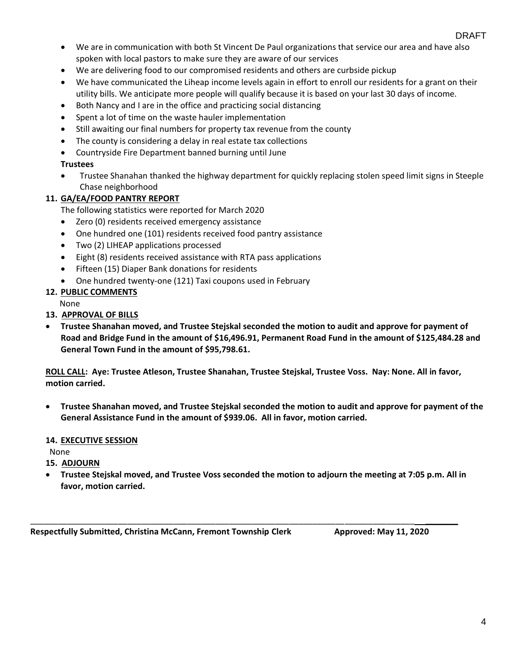- We are in communication with both St Vincent De Paul organizations that service our area and have also spoken with local pastors to make sure they are aware of our services
- We are delivering food to our compromised residents and others are curbside pickup
- We have communicated the Liheap income levels again in effort to enroll our residents for a grant on their utility bills. We anticipate more people will qualify because it is based on your last 30 days of income.
- Both Nancy and I are in the office and practicing social distancing
- Spent a lot of time on the waste hauler implementation
- Still awaiting our final numbers for property tax revenue from the county
- The county is considering a delay in real estate tax collections
- Countryside Fire Department banned burning until June

## **Trustees**

• Trustee Shanahan thanked the highway department for quickly replacing stolen speed limit signs in Steeple Chase neighborhood

## **11. GA/EA/FOOD PANTRY REPORT**

The following statistics were reported for March 2020

- Zero (0) residents received emergency assistance
- One hundred one (101) residents received food pantry assistance
- Two (2) LIHEAP applications processed
- Eight (8) residents received assistance with RTA pass applications
- Fifteen (15) Diaper Bank donations for residents
- One hundred twenty-one (121) Taxi coupons used in February

## **12. PUBLIC COMMENTS**

None

- **13. APPROVAL OF BILLS**
- **Trustee Shanahan moved, and Trustee Stejskal seconded the motion to audit and approve for payment of Road and Bridge Fund in the amount of \$16,496.91, Permanent Road Fund in the amount of \$125,484.28 and General Town Fund in the amount of \$95,798.61.**

**ROLL CALL: Aye: Trustee Atleson, Trustee Shanahan, Trustee Stejskal, Trustee Voss. Nay: None. All in favor, motion carried.**

• **Trustee Shanahan moved, and Trustee Stejskal seconded the motion to audit and approve for payment of the General Assistance Fund in the amount of \$939.06. All in favor, motion carried.**

## **14. EXECUTIVE SESSION**

None

**15. ADJOURN**

• **Trustee Stejskal moved, and Trustee Voss seconded the motion to adjourn the meeting at 7:05 p.m. All in favor, motion carried.**

\_\_\_\_\_\_\_\_\_\_\_\_\_\_\_\_\_\_\_\_\_\_\_\_\_\_\_\_\_\_\_\_\_\_\_\_\_\_\_\_\_\_\_\_\_\_\_\_\_\_\_\_\_\_\_\_\_\_\_\_\_\_\_\_\_\_\_\_\_\_\_\_\_\_\_\_\_\_\_\_\_\_\_ \_\_\_\_\_\_\_

**Respectfully Submitted, Christina McCann, Fremont Township Clerk Approved: May 11, 2020**